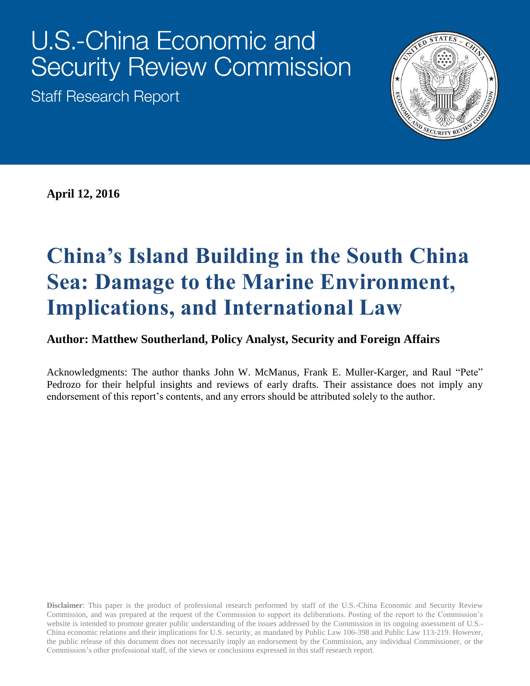# U.S.-China Economic and **Security Review Commission**

**Staff Research Report** 



**April 12, 2016**

# **China's Island Building in the South China Sea: Damage to the Marine Environment, Implications, and International Law**

#### **Author: Matthew Southerland, Policy Analyst, Security and Foreign Affairs**

Acknowledgments: The author thanks John W. McManus, Frank E. Muller-Karger, and Raul "Pete" Pedrozo for their helpful insights and reviews of early drafts. Their assistance does not imply any endorsement of this report's contents, and any errors should be attributed solely to the author.

**Disclaimer**: This paper is the product of professional research performed by staff of the U.S.-China Economic and Security Review Commission, and was prepared at the request of the Commission to support its deliberations. Posting of the report to the Commission's website is intended to promote greater public understanding of the issues addressed by the Commission in its ongoing assessment of U.S.- China economic relations and their implications for U.S. security, as mandated by Public Law 106-398 and Public Law 113-219. However, the public release of this document does not necessarily imply an endorsement by the Commission, any individual Commissioner, or the Commission's other professional staff, of the views or conclusions expressed in this staff research report.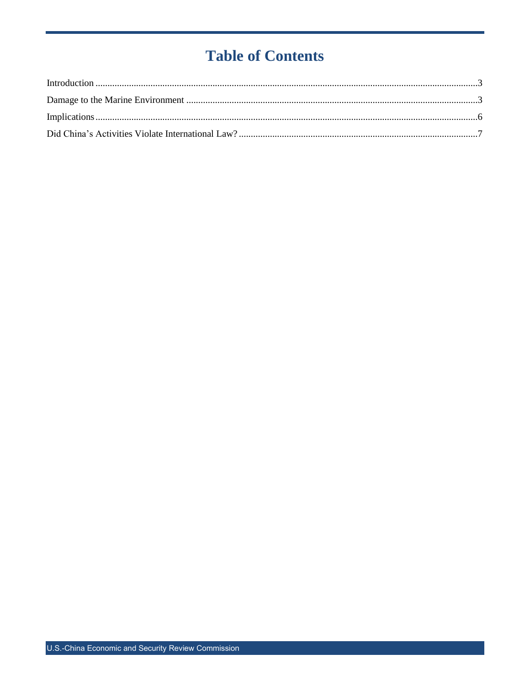## **Table of Contents**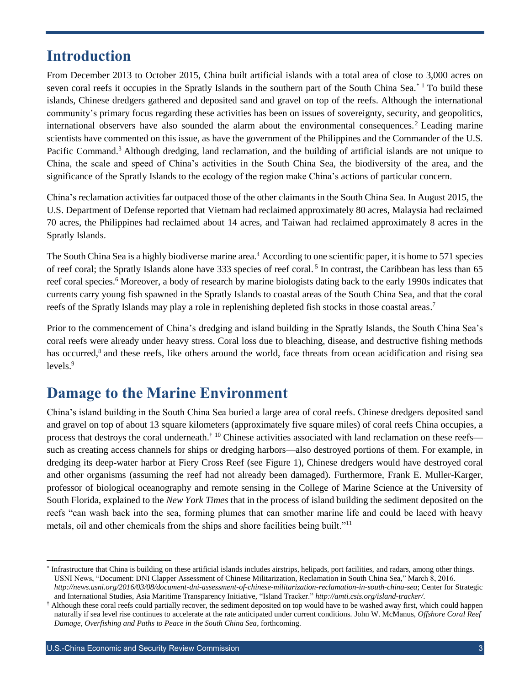#### <span id="page-2-0"></span>**Introduction**

From December 2013 to October 2015, China built artificial islands with a total area of close to 3,000 acres on seven coral reefs it occupies in the Spratly Islands in the southern part of the South China Sea. $*$  1 To build these islands, Chinese dredgers gathered and deposited sand and gravel on top of the reefs. Although the international community's primary focus regarding these activities has been on issues of sovereignty, security, and geopolitics, international observers have also sounded the alarm about the environmental consequences.<sup>2</sup> Leading marine scientists have commented on this issue, as have the government of the Philippines and the Commander of the U.S. Pacific Command.<sup>3</sup> Although dredging, land reclamation, and the building of artificial islands are not unique to China, the scale and speed of China's activities in the South China Sea, the biodiversity of the area, and the significance of the Spratly Islands to the ecology of the region make China's actions of particular concern.

China's reclamation activities far outpaced those of the other claimants in the South China Sea. In August 2015, the U.S. Department of Defense reported that Vietnam had reclaimed approximately 80 acres, Malaysia had reclaimed 70 acres, the Philippines had reclaimed about 14 acres, and Taiwan had reclaimed approximately 8 acres in the Spratly Islands.

The South China Sea is a highly biodiverse marine area. <sup>4</sup> According to one scientific paper, it is home to 571 species of reef coral; the Spratly Islands alone have 333 species of reef coral.<sup>5</sup> In contrast, the Caribbean has less than 65 reef coral species.<sup>6</sup> Moreover, a body of research by marine biologists dating back to the early 1990s indicates that currents carry young fish spawned in the Spratly Islands to coastal areas of the South China Sea, and that the coral reefs of the Spratly Islands may play a role in replenishing depleted fish stocks in those coastal areas.<sup>7</sup>

Prior to the commencement of China's dredging and island building in the Spratly Islands, the South China Sea's coral reefs were already under heavy stress. Coral loss due to bleaching, disease, and destructive fishing methods has occurred,<sup>8</sup> and these reefs, like others around the world, face threats from ocean acidification and rising sea levels.<sup>9</sup>

### <span id="page-2-1"></span>**Damage to the Marine Environment**

China's island building in the South China Sea buried a large area of coral reefs. Chinese dredgers deposited sand and gravel on top of about 13 square kilometers (approximately five square miles) of coral reefs China occupies, a process that destroys the coral underneath.† <sup>10</sup> Chinese activities associated with land reclamation on these reefs such as creating access channels for ships or dredging harbors—also destroyed portions of them. For example, in dredging its deep-water harbor at Fiery Cross Reef (see Figure 1), Chinese dredgers would have destroyed coral and other organisms (assuming the reef had not already been damaged). Furthermore, Frank E. Muller-Karger, professor of biological oceanography and remote sensing in the College of Marine Science at the University of South Florida, explained to the *New York Times* that in the process of island building the sediment deposited on the reefs "can wash back into the sea, forming plumes that can smother marine life and could be laced with heavy metals, oil and other chemicals from the ships and shore facilities being built."<sup>11</sup>

 $\overline{a}$ 

<sup>\*</sup> Infrastructure that China is building on these artificial islands includes airstrips, helipads, port facilities, and radars, among other things. USNI News, "Document: DNI Clapper Assessment of Chinese Militarization, Reclamation in South China Sea," March 8, 2016. *<http://news.usni.org/2016/03/08/document-dni-assessment-of-chinese-militarization-reclamation-in-south-china-sea>*; Center for Strategic and International Studies, Asia Maritime Transparency Initiative, "Island Tracker." *<http://amti.csis.org/island-tracker/>*.

<sup>†</sup> Although these coral reefs could partially recover, the sediment deposited on top would have to be washed away first, which could happen naturally if sea level rise continues to accelerate at the rate anticipated under current conditions. John W. McManus, *Offshore Coral Reef Damage, Overfishing and Paths to Peace in the South China Sea*, forthcoming.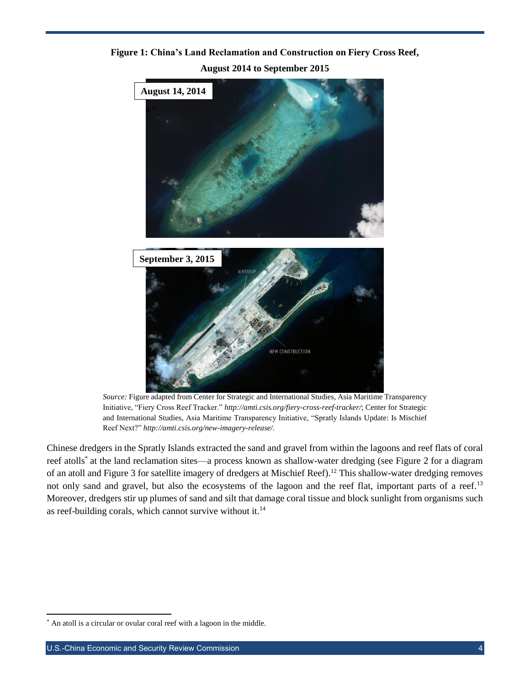#### **Figure 1: China's Land Reclamation and Construction on Fiery Cross Reef, August 2014 to September 2015**



*Source:* Figure adapted from Center for Strategic and International Studies, Asia Maritime Transparency Initiative, "Fiery Cross Reef Tracker." *http://amti.csis.org/fiery-cross-reef-tracker/*; Center for Strategic and International Studies, Asia Maritime Transparency Initiative, "Spratly Islands Update: Is Mischief Reef Next?" *http://amti.csis.org/new-imagery-release/.*

Chinese dredgers in the Spratly Islands extracted the sand and gravel from within the lagoons and reef flats of coral reef atolls\* at the land reclamation sites—a process known as shallow-water dredging (see Figure 2 for a diagram of an atoll and Figure 3 for satellite imagery of dredgers at Mischief Reef).<sup>12</sup> This shallow-water dredging removes not only sand and gravel, but also the ecosystems of the lagoon and the reef flat, important parts of a reef.<sup>13</sup> Moreover, dredgers stir up plumes of sand and silt that damage coral tissue and block sunlight from organisms such as reef-building corals, which cannot survive without it.<sup>14</sup>

l \* An atoll is a circular or ovular coral reef with a lagoon in the middle.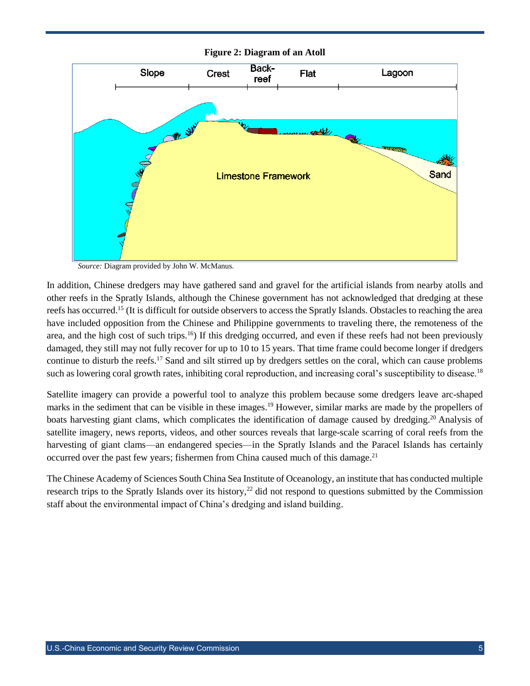

**Figure 2: Diagram of an Atoll**

*Source:* Diagram provided by John W. McManus*.*

In addition, Chinese dredgers may have gathered sand and gravel for the artificial islands from nearby atolls and other reefs in the Spratly Islands, although the Chinese government has not acknowledged that dredging at these reefs has occurred.<sup>15</sup> (It is difficult for outside observers to access the Spratly Islands. Obstacles to reaching the area have included opposition from the Chinese and Philippine governments to traveling there, the remoteness of the area, and the high cost of such trips.<sup>16</sup>) If this dredging occurred, and even if these reefs had not been previously damaged, they still may not fully recover for up to 10 to 15 years. That time frame could become longer if dredgers continue to disturb the reefs.<sup>17</sup> Sand and silt stirred up by dredgers settles on the coral, which can cause problems such as lowering coral growth rates, inhibiting coral reproduction, and increasing coral's susceptibility to disease.<sup>18</sup>

Satellite imagery can provide a powerful tool to analyze this problem because some dredgers leave arc-shaped marks in the sediment that can be visible in these images.<sup>19</sup> However, similar marks are made by the propellers of boats harvesting giant clams, which complicates the identification of damage caused by dredging.<sup>20</sup> Analysis of satellite imagery, news reports, videos, and other sources reveals that large-scale scarring of coral reefs from the harvesting of giant clams—an endangered species—in the Spratly Islands and the Paracel Islands has certainly occurred over the past few years; fishermen from China caused much of this damage.<sup>21</sup>

The Chinese Academy of Sciences South China Sea Institute of Oceanology, an institute that has conducted multiple research trips to the Spratly Islands over its history,<sup>22</sup> did not respond to questions submitted by the Commission staff about the environmental impact of China's dredging and island building.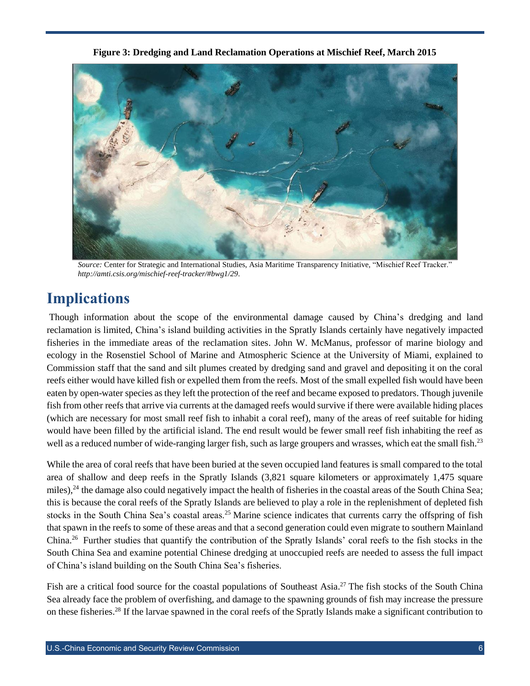**Figure 3: Dredging and Land Reclamation Operations at Mischief Reef, March 2015**



*Source:* Center for Strategic and International Studies, Asia Maritime Transparency Initiative, "Mischief Reef Tracker." *http://amti.csis.org/mischief-reef-tracker/#bwg1/29*.

### <span id="page-5-0"></span>**Implications**

Though information about the scope of the environmental damage caused by China's dredging and land reclamation is limited, China's island building activities in the Spratly Islands certainly have negatively impacted fisheries in the immediate areas of the reclamation sites. John W. McManus, professor of marine biology and ecology in the Rosenstiel School of Marine and Atmospheric Science at the University of Miami, explained to Commission staff that the sand and silt plumes created by dredging sand and gravel and depositing it on the coral reefs either would have killed fish or expelled them from the reefs. Most of the small expelled fish would have been eaten by open-water species as they left the protection of the reef and became exposed to predators. Though juvenile fish from other reefs that arrive via currents at the damaged reefs would survive if there were available hiding places (which are necessary for most small reef fish to inhabit a coral reef), many of the areas of reef suitable for hiding would have been filled by the artificial island. The end result would be fewer small reef fish inhabiting the reef as well as a reduced number of wide-ranging larger fish, such as large groupers and wrasses, which eat the small fish.<sup>23</sup>

While the area of coral reefs that have been buried at the seven occupied land features is small compared to the total area of shallow and deep reefs in the Spratly Islands (3,821 square kilometers or approximately 1,475 square miles), $^{24}$  the damage also could negatively impact the health of fisheries in the coastal areas of the South China Sea; this is because the coral reefs of the Spratly Islands are believed to play a role in the replenishment of depleted fish stocks in the South China Sea's coastal areas.<sup>25</sup> Marine science indicates that currents carry the offspring of fish that spawn in the reefs to some of these areas and that a second generation could even migrate to southern Mainland China.<sup>26</sup> Further studies that quantify the contribution of the Spratly Islands' coral reefs to the fish stocks in the South China Sea and examine potential Chinese dredging at unoccupied reefs are needed to assess the full impact of China's island building on the South China Sea's fisheries.

Fish are a critical food source for the coastal populations of Southeast Asia.<sup>27</sup> The fish stocks of the South China Sea already face the problem of overfishing, and damage to the spawning grounds of fish may increase the pressure on these fisheries.<sup>28</sup> If the larvae spawned in the coral reefs of the Spratly Islands make a significant contribution to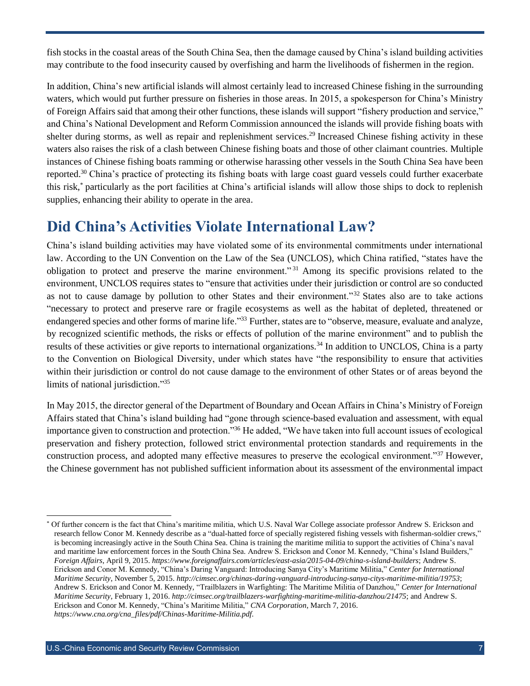fish stocks in the coastal areas of the South China Sea, then the damage caused by China's island building activities may contribute to the food insecurity caused by overfishing and harm the livelihoods of fishermen in the region.

In addition, China's new artificial islands will almost certainly lead to increased Chinese fishing in the surrounding waters, which would put further pressure on fisheries in those areas. In 2015, a spokesperson for China's Ministry of Foreign Affairs said that among their other functions, these islands will support "fishery production and service," and China's National Development and Reform Commission announced the islands will provide fishing boats with shelter during storms, as well as repair and replenishment services.<sup>29</sup> Increased Chinese fishing activity in these waters also raises the risk of a clash between Chinese fishing boats and those of other claimant countries. Multiple instances of Chinese fishing boats ramming or otherwise harassing other vessels in the South China Sea have been reported.<sup>30</sup> China's practice of protecting its fishing boats with large coast guard vessels could further exacerbate this risk,\* particularly as the port facilities at China's artificial islands will allow those ships to dock to replenish supplies, enhancing their ability to operate in the area.

#### <span id="page-6-0"></span>**Did China's Activities Violate International Law?**

China's island building activities may have violated some of its environmental commitments under international law. According to the UN Convention on the Law of the Sea (UNCLOS), which China ratified, "states have the obligation to protect and preserve the marine environment." <sup>31</sup> Among its specific provisions related to the environment, UNCLOS requires states to "ensure that activities under their jurisdiction or control are so conducted as not to cause damage by pollution to other States and their environment."<sup>32</sup> States also are to take actions "necessary to protect and preserve rare or fragile ecosystems as well as the habitat of depleted, threatened or endangered species and other forms of marine life."<sup>33</sup> Further, states are to "observe, measure, evaluate and analyze, by recognized scientific methods, the risks or effects of pollution of the marine environment" and to publish the results of these activities or give reports to international organizations.<sup>34</sup> In addition to UNCLOS, China is a party to the Convention on Biological Diversity, under which states have "the responsibility to ensure that activities within their jurisdiction or control do not cause damage to the environment of other States or of areas beyond the limits of national jurisdiction." 35

In May 2015, the director general of the Department of Boundary and Ocean Affairs in China's Ministry of Foreign Affairs stated that China's island building had "gone through science-based evaluation and assessment, with equal importance given to construction and protection."<sup>36</sup> He added, "We have taken into full account issues of ecological preservation and fishery protection, followed strict environmental protection standards and requirements in the construction process, and adopted many effective measures to preserve the ecological environment."<sup>37</sup> However, the Chinese government has not published sufficient information about its assessment of the environmental impact

l

<sup>\*</sup> Of further concern is the fact that China's maritime militia, which U.S. Naval War College associate professor Andrew S. Erickson and research fellow Conor M. Kennedy describe as a "dual-hatted force of specially registered fishing vessels with fisherman-soldier crews," is becoming increasingly active in the South China Sea. China is training the maritime militia to support the activities of China's naval and maritime law enforcement forces in the South China Sea. Andrew S. Erickson and Conor M. Kennedy, "China's Island Builders," *Foreign Affairs*, April 9, 2015. *<https://www.foreignaffairs.com/articles/east-asia/2015-04-09/china-s-island-builders>*; Andrew S. Erickson and Conor M. Kennedy, "China's Daring Vanguard: Introducing Sanya City's Maritime Militia," *Center for International Maritime Security*, November 5, 2015. *<http://cimsec.org/chinas-daring-vanguard-introducing-sanya-citys-maritime-militia/19753>*; Andrew S. Erickson and Conor M. Kennedy, "Trailblazers in Warfighting: The Maritime Militia of Danzhou," *Center for International Maritime Security*, February 1, 2016. *<http://cimsec.org/trailblazers-warfighting-maritime-militia-danzhou/21475>*; and Andrew S. Erickson and Conor M. Kennedy, "China's Maritime Militia," *CNA Corporation*, March 7, 2016. *[https://www.cna.org/cna\\_files/pdf/Chinas-Maritime-Militia.pdf](https://www.cna.org/cna_files/pdf/Chinas-Maritime-Militia.pdf)*.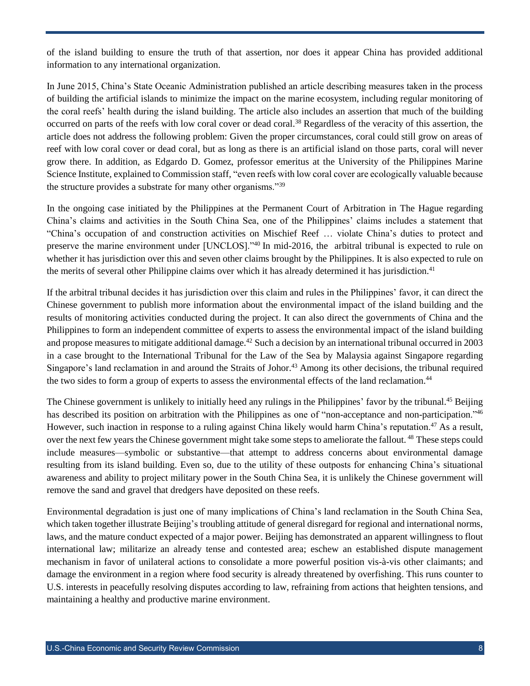of the island building to ensure the truth of that assertion, nor does it appear China has provided additional information to any international organization.

In June 2015, China's State Oceanic Administration published an article describing measures taken in the process of building the artificial islands to minimize the impact on the marine ecosystem, including regular monitoring of the coral reefs' health during the island building. The article also includes an assertion that much of the building occurred on parts of the reefs with low coral cover or dead coral.<sup>38</sup> Regardless of the veracity of this assertion, the article does not address the following problem: Given the proper circumstances, coral could still grow on areas of reef with low coral cover or dead coral, but as long as there is an artificial island on those parts, coral will never grow there. In addition, as Edgardo D. Gomez, professor emeritus at the University of the Philippines Marine Science Institute, explained to Commission staff, "even reefs with low coral cover are ecologically valuable because the structure provides a substrate for many other organisms."<sup>39</sup>

In the ongoing case initiated by the Philippines at the Permanent Court of Arbitration in The Hague regarding China's claims and activities in the South China Sea, one of the Philippines' claims includes a statement that "China's occupation of and construction activities on Mischief Reef … violate China's duties to protect and preserve the marine environment under [UNCLOS]."<sup>40</sup> In mid-2016, the arbitral tribunal is expected to rule on whether it has jurisdiction over this and seven other claims brought by the Philippines. It is also expected to rule on the merits of several other Philippine claims over which it has already determined it has jurisdiction.<sup>41</sup>

If the arbitral tribunal decides it has jurisdiction over this claim and rules in the Philippines' favor, it can direct the Chinese government to publish more information about the environmental impact of the island building and the results of monitoring activities conducted during the project. It can also direct the governments of China and the Philippines to form an independent committee of experts to assess the environmental impact of the island building and propose measures to mitigate additional damage. <sup>42</sup> Such a decision by an international tribunal occurred in 2003 in a case brought to the International Tribunal for the Law of the Sea by Malaysia against Singapore regarding Singapore's land reclamation in and around the Straits of Johor.<sup>43</sup> Among its other decisions, the tribunal required the two sides to form a group of experts to assess the environmental effects of the land reclamation.<sup>44</sup>

The Chinese government is unlikely to initially heed any rulings in the Philippines' favor by the tribunal.<sup>45</sup> Beijing has described its position on arbitration with the Philippines as one of "non-acceptance and non-participation."<sup>46</sup> However, such inaction in response to a ruling against China likely would harm China's reputation.<sup>47</sup> As a result, over the next few years the Chinese government might take some steps to ameliorate the fallout. <sup>48</sup> These steps could include measures—symbolic or substantive—that attempt to address concerns about environmental damage resulting from its island building. Even so, due to the utility of these outposts for enhancing China's situational awareness and ability to project military power in the South China Sea, it is unlikely the Chinese government will remove the sand and gravel that dredgers have deposited on these reefs.

Environmental degradation is just one of many implications of China's land reclamation in the South China Sea, which taken together illustrate Beijing's troubling attitude of general disregard for regional and international norms, laws, and the mature conduct expected of a major power. Beijing has demonstrated an apparent willingness to flout international law; militarize an already tense and contested area; eschew an established dispute management mechanism in favor of unilateral actions to consolidate a more powerful position vis-à-vis other claimants; and damage the environment in a region where food security is already threatened by overfishing. This runs counter to U.S. interests in peacefully resolving disputes according to law, refraining from actions that heighten tensions, and maintaining a healthy and productive marine environment.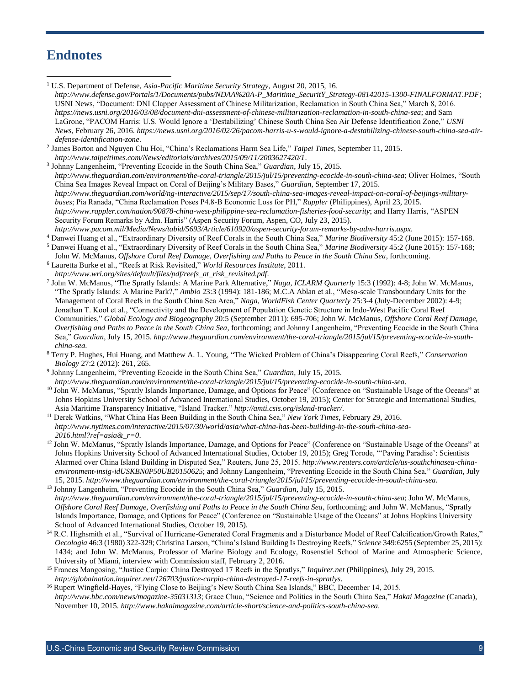#### **Endnotes**

<sup>1</sup> U.S. Department of Defense, *Asia-Pacific Maritime Security Strategy*, August 20, 2015, 16. *[http://www.defense.gov/Portals/1/Documents/pubs/NDAA%20A-P\\_Maritime\\_SecuritY\\_Strategy-08142015-1300-FINALFORMAT.PDF](http://www.defense.gov/Portals/1/Documents/pubs/NDAA%20A-P_Maritime_SecuritY_Strategy-08142015-1300-FINALFORMAT.PDF)*; USNI News, "Document: DNI Clapper Assessment of Chinese Militarization, Reclamation in South China Sea," March 8, 2016. *<https://news.usni.org/2016/03/08/document-dni-assessment-of-chinese-militarization-reclamation-in-south-china-sea>*; and Sam LaGrone, "PACOM Harris: U.S. Would Ignore a 'Destabilizing' Chinese South China Sea Air Defense Identification Zone," *USNI News*, February 26, 2016. *[https://news.usni.org/2016/02/26/pacom-harris-u-s-would-ignore-a-destabilizing-chinese-south-china-sea-air](https://news.usni.org/2016/02/26/pacom-harris-u-s-would-ignore-a-destabilizing-chinese-south-china-sea-air-defense-identification-zone)[defense-identification-zone](https://news.usni.org/2016/02/26/pacom-harris-u-s-would-ignore-a-destabilizing-chinese-south-china-sea-air-defense-identification-zone)*. 2 James Borton and Nguyen Chu Hoi, "China's Reclamations Harm Sea Life," *Taipei Times*, September 11, 2015. *http://www.taipeitimes.com/News/editorials/archives/2015/09/11/2003627420/1*. 3 Johnny Langenheim, "Preventing Ecocide in the South China Sea," *Guardian*, July 15, 2015. *http://www.theguardian.com/environment/the-coral-triangle/2015/jul/15/preventing-ecocide-in-south-china-sea*; Oliver Holmes, "South China Sea Images Reveal Impact on Coral of Beijing's Military Bases," *Guardian*, September 17, 2015. *http://www.theguardian.com/world/ng-interactive/2015/sep/17/south-china-sea-images-reveal-impact-on-coral-of-beijings-militarybases*; Pia Ranada, "China Reclamation Poses P4.8-B Economic Loss for PH," *Rappler* (Philippines), April 23, 2015. *http://www.rappler.com/nation/90878-china-west-philippine-sea-reclamation-fisheries-food-security*; and Harry Harris, "ASPEN Security Forum Remarks by Adm. Harris" (Aspen Security Forum, Aspen, CO, July 23, 2015). *http://www.pacom.mil/Media/News/tabid/5693/Article/610920/aspen-security-forum-remarks-by-adm-harris.aspx*. <sup>4</sup> Danwei Huang et al., "Extraordinary Diversity of Reef Corals in the South China Sea," *Marine Biodiversity* 45:2 (June 2015): 157-168. <sup>5</sup> Danwei Huang et al., "Extraordinary Diversity of Reef Corals in the South China Sea," *Marine Biodiversity* 45:2 (June 2015): 157-168; John W. McManus, *Offshore Coral Reef Damage, Overfishing and Paths to Peace in the South China Sea*, forthcoming. <sup>6</sup> Lauretta Burke et al., "Reefs at Risk Revisited," *World Resources Institute*, 2011. *[http://www.wri.org/sites/default/files/pdf/reefs\\_at\\_risk\\_revisited.pdf](http://www.wri.org/sites/default/files/pdf/reefs_at_risk_revisited.pdf)*. 7 John W. McManus, "The Spratly Islands: A Marine Park Alternative," *Naga, ICLARM Quarterly* 15:3 (1992): 4-8; John W. McManus, "The Spratly Islands: A Marine Park?," *Ambio* 23:3 (1994): 181-186; M.C.A Ablan et al., "Meso-scale Transboundary Units for the Management of Coral Reefs in the South China Sea Area," *Naga, WorldFish Center Quarterly* 25:3-4 (July-December 2002): 4-9; Jonathan T. Kool et al., "Connectivity and the Development of Population Genetic Structure in Indo-West Pacific Coral Reef Communities," *Global Ecology and Biogeography* 20:5 (September 2011): 695-706; John W. McManus, *Offshore Coral Reef Damage, Overfishing and Paths to Peace in the South China Sea*, forthcoming; and Johnny Langenheim, "Preventing Ecocide in the South China Sea," *Guardian*, July 15, 2015. *[http://www.theguardian.com/environment/the-coral-triangle/2015/jul/15/preventing-ecocide-in-south](http://www.theguardian.com/environment/the-coral-triangle/2015/jul/15/preventing-ecocide-in-south-china-sea)[china-sea](http://www.theguardian.com/environment/the-coral-triangle/2015/jul/15/preventing-ecocide-in-south-china-sea)*. <sup>8</sup> Terry P. Hughes, Hui Huang, and Matthew A. L. Young, "The Wicked Problem of China's Disappearing Coral Reefs," *Conservation Biology* 27:2 (2012): 261, 265. 9 Johnny Langenheim, "Preventing Ecocide in the South China Sea," *Guardian*, July 15, 2015. *http://www.theguardian.com/environment/the-coral-triangle/2015/jul/15/preventing-ecocide-in-south-china-sea*. 10 John W. McManus, "Spratly Islands Importance, Damage, and Options for Peace" (Conference on "Sustainable Usage of the Oceans" at Johns Hopkins University School of Advanced International Studies, October 19, 2015); Center for Strategic and International Studies, Asia Maritime Transparency Initiative, "Island Tracker." *<http://amti.csis.org/island-tracker/>*. <sup>11</sup> Derek Watkins, "What China Has Been Building in the South China Sea," *New York Times*, February 29, 2016. *[http://www.nytimes.com/interactive/2015/07/30/world/asia/what-china-has-been-building-in-the-south-china-sea-](http://www.nytimes.com/interactive/2015/07/30/world/asia/what-china-has-been-building-in-the-south-china-sea-2016.html?ref=asia&_r=0)[2016.html?ref=asia&\\_r=0](http://www.nytimes.com/interactive/2015/07/30/world/asia/what-china-has-been-building-in-the-south-china-sea-2016.html?ref=asia&_r=0)*. <sup>12</sup> John W. McManus, "Spratly Islands Importance, Damage, and Options for Peace" (Conference on "Sustainable Usage of the Oceans" at Johns Hopkins University School of Advanced International Studies, October 19, 2015); Greg Torode, "'Paving Paradise': Scientists Alarmed over China Island Building in Disputed Sea," Reuters, June 25, 2015. *http://www.reuters.com/article/us-southchinasea-chinaenvironment-insig-idUSKBN0P50UB20150625*; and Johnny Langenheim, "Preventing Ecocide in the South China Sea," *Guardian*, July 15, 2015. *http://www.theguardian.com/environment/the-coral-triangle/2015/jul/15/preventing-ecocide-in-south-china-sea*. <sup>13</sup> Johnny Langenheim, "Preventing Ecocide in the South China Sea," *Guardian*, July 15, 2015. *<http://www.theguardian.com/environment/the-coral-triangle/2015/jul/15/preventing-ecocide-in-south-china-sea>*; John W. McManus, *Offshore Coral Reef Damage, Overfishing and Paths to Peace in the South China Sea*, forthcoming; and John W. McManus, "Spratly Islands Importance, Damage, and Options for Peace" (Conference on "Sustainable Usage of the Oceans" at Johns Hopkins University School of Advanced International Studies, October 19, 2015). <sup>14</sup> R.C. Highsmith et al., "Survival of Hurricane-Generated Coral Fragments and a Disturbance Model of Reef Calcification/Growth Rates," *Oecologia* 46:3 (1980) 322-329; Christina Larson, "China's Island Building Is Destroying Reefs," *Science* 349:6255 (September 25, 2015): 1434; and John W. McManus, Professor of Marine Biology and Ecology, Rosenstiel School of Marine and Atmospheric Science, University of Miami, interview with Commission staff, February 2, 2016. <sup>15</sup> Frances Mangosing, "Justice Carpio: China Destroyed 17 Reefs in the Spratlys," *Inquirer.net* (Philippines), July 29, 2015. *<http://globalnation.inquirer.net/126703/justice-carpio-china-destroyed-17-reefs-in-spratlys>*. <sup>16</sup> Rupert Wingfield-Hayes, "Flying Close to Beijing's New South China Sea Islands," BBC, December 14, 2015. *<http://www.bbc.com/news/magazine-35031313>*; Grace Chua, "Science and Politics in the South China Sea," *Hakai Magazine* (Canada), November 10, 2015. *<http://www.hakaimagazine.com/article-short/science-and-politics-south-china-sea>*. l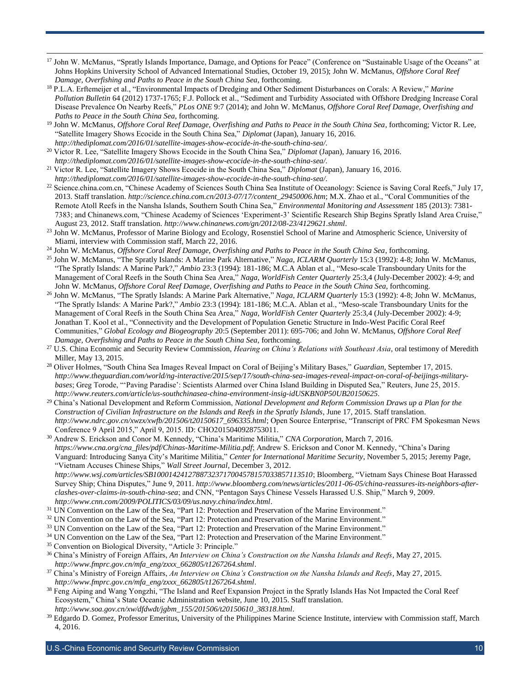- <sup>17</sup> John W. McManus, "Spratly Islands Importance, Damage, and Options for Peace" (Conference on "Sustainable Usage of the Oceans" at Johns Hopkins University School of Advanced International Studies, October 19, 2015); John W. McManus, *Offshore Coral Reef Damage, Overfishing and Paths to Peace in the South China Sea*, forthcoming.
- <sup>18</sup> P.L.A. Erftemeijer et al., "Environmental Impacts of Dredging and Other Sediment Disturbances on Corals: A Review," *Marine Pollution Bulletin* 64 (2012) 1737-1765; F.J. Pollock et al., "Sediment and Turbidity Associated with Offshore Dredging Increase Coral Disease Prevalence On Nearby Reefs," *PLos ONE* 9:7 (2014); and John W. McManus, *Offshore Coral Reef Damage, Overfishing and Paths to Peace in the South China Sea*, forthcoming.
- <sup>19</sup> John W. McManus, *Offshore Coral Reef Damage, Overfishing and Paths to Peace in the South China Sea*, forthcoming; Victor R. Lee, "Satellite Imagery Shows Ecocide in the South China Sea," *Diplomat* (Japan), January 16, 2016. *http://thediplomat.com/2016/01/satellite-images-show-ecocide-in-the-south-china-sea/*.
- <sup>20</sup> Victor R. Lee, "Satellite Imagery Shows Ecocide in the South China Sea," *Diplomat* (Japan), January 16, 2016. *http://thediplomat.com/2016/01/satellite-images-show-ecocide-in-the-south-china-sea/*.
- <sup>21</sup> Victor R. Lee, "Satellite Imagery Shows Ecocide in the South China Sea," *Diplomat* (Japan), January 16, 2016. *http://thediplomat.com/2016/01/satellite-images-show-ecocide-in-the-south-china-sea/*.
- <sup>22</sup> Science.china.com.cn, "Chinese Academy of Sciences South China Sea Institute of Oceanology: Science is Saving Coral Reefs," July 17, 2013. Staff translation. *http://science.china.com.cn/2013-07/17/content\_29450006.htm*; M.X. Zhao et al., "Coral Communities of the Remote Atoll Reefs in the Nansha Islands, Southern South China Sea," *Environmental Monitoring and Assessment* 185 (2013): 7381- 7383; and Chinanews.com, "Chinese Academy of Sciences 'Experiment-3' Scientific Research Ship Begins Spratly Island Area Cruise," August 23, 2012. Staff translation. *<http://www.chinanews.com/gn/2012/08-23/4129621.shtml>*.
- <sup>23</sup> John W. McManus, Professor of Marine Biology and Ecology, Rosenstiel School of Marine and Atmospheric Science, University of Miami, interview with Commission staff, March 22, 2016.
- <sup>24</sup> John W. McManus, *Offshore Coral Reef Damage, Overfishing and Paths to Peace in the South China Sea*, forthcoming.
- <sup>25</sup> John W. McManus, "The Spratly Islands: A Marine Park Alternative," *Naga, ICLARM Quarterly* 15:3 (1992): 4-8; John W. McManus, "The Spratly Islands: A Marine Park?," *Ambio* 23:3 (1994): 181-186; M.C.A Ablan et al., "Meso-scale Transboundary Units for the Management of Coral Reefs in the South China Sea Area," *Naga, WorldFish Center Quarterly* 25:3,4 (July-December 2002): 4-9; and John W. McManus, *Offshore Coral Reef Damage, Overfishing and Paths to Peace in the South China Sea*, forthcoming.
- <sup>26</sup> John W. McManus, "The Spratly Islands: A Marine Park Alternative," *Naga, ICLARM Quarterly* 15:3 (1992): 4-8; John W. McManus, "The Spratly Islands: A Marine Park?," *Ambio* 23:3 (1994): 181-186; M.C.A. Ablan et al., "Meso-scale Transboundary Units for the Management of Coral Reefs in the South China Sea Area," *Naga, WorldFish Center Quarterly* 25:3,4 (July-December 2002): 4-9; Jonathan T. Kool et al., "Connectivity and the Development of Population Genetic Structure in Indo-West Pacific Coral Reef Communities," *Global Ecology and Biogeography* 20:5 (September 2011): 695-706; and John W. McManus, *Offshore Coral Reef Damage, Overfishing and Paths to Peace in the South China Sea*, forthcoming.
- <sup>27</sup> U.S. China Economic and Security Review Commission, *Hearing on China's Relations with Southeast Asia*, oral testimony of Meredith Miller, May 13, 2015.
- <sup>28</sup> Oliver Holmes, "South China Sea Images Reveal Impact on Coral of Beijing's Military Bases," *Guardian*, September 17, 2015. *http://www.theguardian.com/world/ng-interactive/2015/sep/17/south-china-sea-images-reveal-impact-on-coral-of-beijings-militarybases*; Greg Torode, "'Paving Paradise': Scientists Alarmed over China Island Building in Disputed Sea," Reuters, June 25, 2015. *http://www.reuters.com/article/us-southchinasea-china-environment-insig-idUSKBN0P50UB20150625*.
- <sup>29</sup> China's National Development and Reform Commission, *National Development and Reform Commission Draws up a Plan for the Construction of Civilian Infrastructure on the Islands and Reefs in the Spratly Islands*, June 17, 2015. Staff translation. *http://www.ndrc.gov.cn/xwzx/xwfb/201506/t20150617\_696335.html*; Open Source Enterprise, "Transcript of PRC FM Spokesman News Conference 9 April 2015," April 9, 2015. ID: CHO2015040928753011.
- <sup>30</sup> Andrew S. Erickson and Conor M. Kennedy, "China's Maritime Militia," *CNA Corporation*, March 7, 2016. *[https://www.cna.org/cna\\_files/pdf/Chinas-Maritime-Militia.pdf](https://www.cna.org/cna_files/pdf/Chinas-Maritime-Militia.pdf)*; Andrew S. Erickson and Conor M. Kennedy, "China's Daring Vanguard: Introducing Sanya City's Maritime Militia," *Center for International Maritime Security*, November 5, 2015; Jeremy Page, "Vietnam Accuses Chinese Ships," *Wall Street Journal*, December 3, 2012. *<http://www.wsj.com/articles/SB10001424127887323717004578157033857113510>*; Bloomberg, "Vietnam Says Chinese Boat Harassed

Survey Ship; China Disputes," June 9, 2011. *[http://www.bloomberg.com/news/articles/2011-06-05/china-reassures-its-neighbors-after](http://www.bloomberg.com/news/articles/2011-06-05/china-reassures-its-neighbors-after-clashes-over-claims-in-south-china-sea)[clashes-over-claims-in-south-china-sea](http://www.bloomberg.com/news/articles/2011-06-05/china-reassures-its-neighbors-after-clashes-over-claims-in-south-china-sea)*; and CNN, "Pentagon Says Chinese Vessels Harassed U.S. Ship," March 9, 2009. *<http://www.cnn.com/2009/POLITICS/03/09/us.navy.china/index.html>*.

- <sup>31</sup> UN Convention on the Law of the Sea, "Part 12: Protection and Preservation of the Marine Environment."
- <sup>32</sup> UN Convention on the Law of the Sea, "Part 12: Protection and Preservation of the Marine Environment."
- <sup>33</sup> UN Convention on the Law of the Sea, "Part 12: Protection and Preservation of the Marine Environment."
- <sup>34</sup> UN Convention on the Law of the Sea, "Part 12: Protection and Preservation of the Marine Environment."
- <sup>35</sup> Convention on Biological Diversity, "Article 3: Principle."

 $\overline{a}$ 

- <sup>36</sup> China's Ministry of Foreign Affairs, *An Interview on China's Construction on the Nansha Islands and Reefs*, May 27, 2015. *http://www.fmprc.gov.cn/mfa\_eng/zxxx\_662805/t1267264.shtml*.
- <sup>37</sup> China's Ministry of Foreign Affairs, *An Interview on China's Construction on the Nansha Islands and Reefs*, May 27, 2015. *http://www.fmprc.gov.cn/mfa\_eng/zxxx\_662805/t1267264.shtml*.
- <sup>38</sup> Feng Aiping and Wang Yongzhi, "The Island and Reef Expansion Project in the Spratly Islands Has Not Impacted the Coral Reef Ecosystem," China's State Oceanic Administration website, June 10, 2015. Staff translation. *[http://www.soa.gov.cn/xw/dfdwdt/jgbm\\_155/201506/t20150610\\_38318.html](http://www.soa.gov.cn/xw/dfdwdt/jgbm_155/201506/t20150610_38318.html)*.
- $39$  Edgardo D. Gomez, Professor Emeritus, University of the Philippines Marine Science Institute, interview with Commission staff, March 4, 2016.